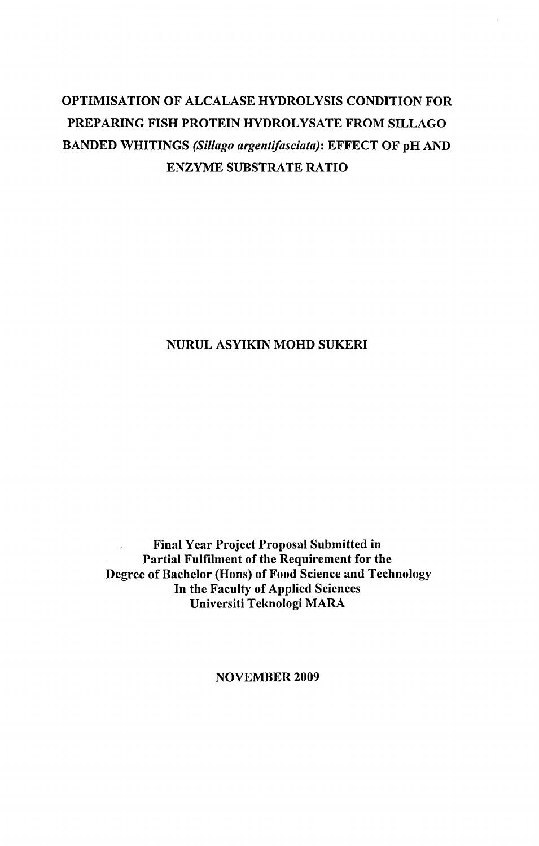# OPTIMISATION OF ALCALASE HYDROLYSIS CONDITION FOR PREPARING FISH PROTEIN HYDROLYSATE FROM SILLAGO BANDED WHITINGS *(Sillago argentifasciata):* EFFECT OF pH AND ENZYME SUBSTRATE RATIO

#### NURUL ASYIKIN MOHD SUKERI

Final Year Project Proposal Submitted in Ù. Partial Fulfilment of the Requirement for the Degree of Bachelor (Hons) of Food Science and Technology In the Faculty of Applied Sciences Universiti Teknologi MARA

NOVEMBER 2009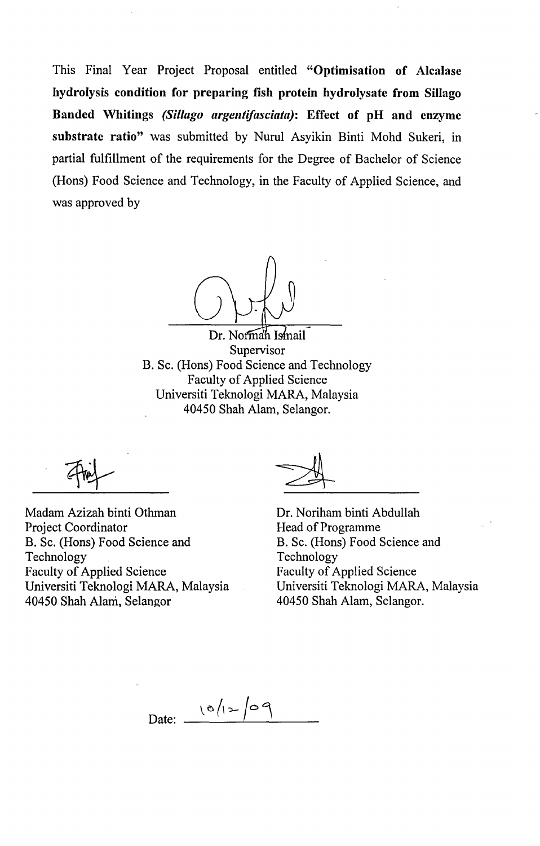This Final Year Project Proposal entitled **"Optimisation of Alcalase hydrolysis condition for preparing fish protein hydrolysate from Sillago Banded Whitings** *(Sillago argentifasciata):* **Effect of pH and enzyme substrate ratio"** was submitted by Nurul Asyikin Binti Mohd Sukeri, in partial fulfillment of the requirements for the Degree of Bachelor of Science (Hons) Food Science and Technology, in the Faculty of Applied Science, and was approved by

Dr. Normah Ismail Supervisor B. Sc. (Hons) Food Science and Technology Faculty of Applied Science Universiti Teknologi MARA, Malaysia 40450 Shah Alam, Selangor.

**^Af** 

Madam Azizah binti Othman Project Coordinator B. Sc. (Hons) Food Science and Technology Faculty of Applied Science Universiti Teknologi MARA, Malaysia 40450 Shah Alani, Selangor

Dr. Noriham binti Abdullah Head of Programme B. Sc. (Hons) Food Science and Technology Faculty of Applied Science Universiti Teknologi MARA, Malaysia 40450 Shah Alam, Selangor.

Date:  $10/12/09$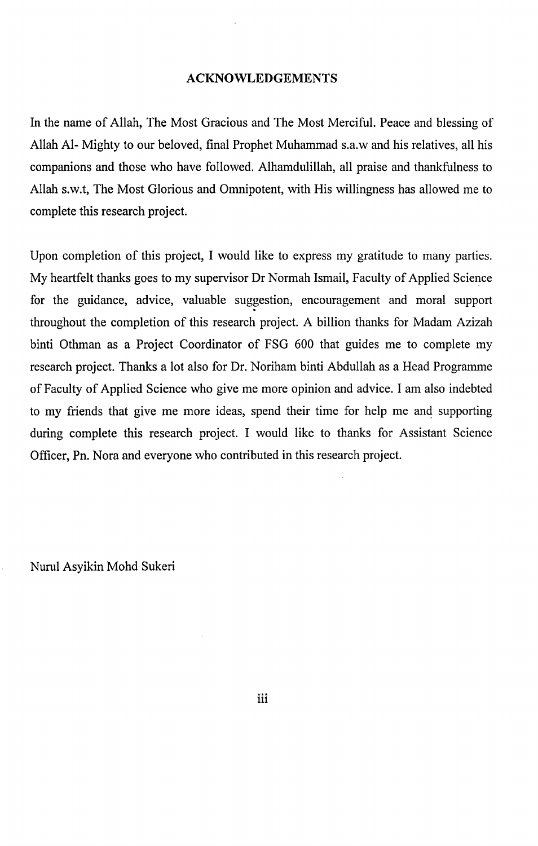#### ACKNOWLEDGEMENTS

In the name of Allah, The Most Gracious and The Most Merciful. Peace and blessing of Allah Al- Mighty to our beloved, final Prophet Muhammad s.a.w and his relatives, all his companions and those who have followed. Alhamdulillah, all praise and thankfulness to Allah s.w.t, The Most Glorious and Omnipotent, with His willingness has allowed me to complete this research project.

Upon completion of this project, I would like to express my gratitude to many parties. My heartfelt thanks goes to my supervisor Dr Normah Ismail, Faculty of Applied Science for the guidance, advice, valuable suggestion, encouragement and moral support throughout the completion of this research project. A billion thanks for Madam Azizah binti Othman as a Project Coordinator of FSG 600 that guides me to complete my research project. Thanks a lot also for Dr. Noriham binti Abdullah as a Head Programme of Faculty of Applied Science who give me more opinion and advice. I am also indebted to my friends that give me more ideas, spend their time for help me and supporting during complete this research project. I would like to thanks for Assistant Science Officer, Pn. Nora and everyone who contributed in this research project.

Nurul Asyikin Mohd Sukeri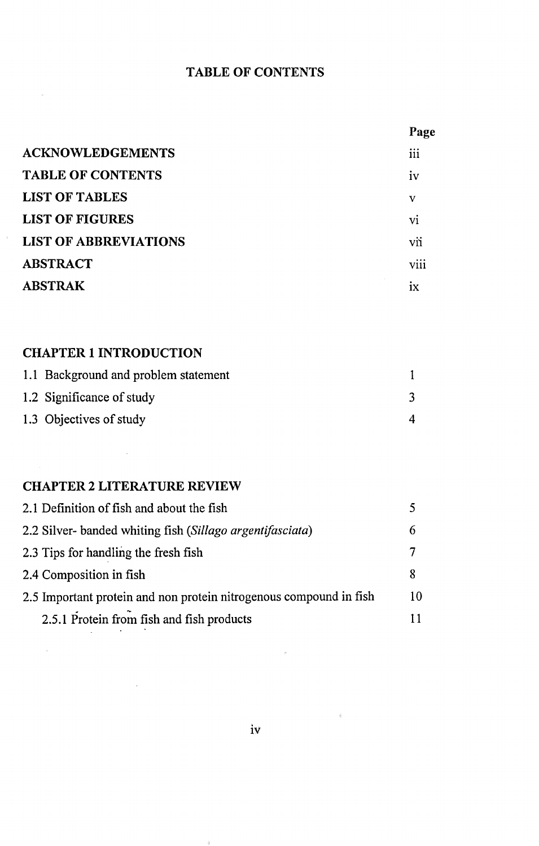### **TABLE OF CONTENTS**

|                              | Page           |
|------------------------------|----------------|
| <b>ACKNOWLEDGEMENTS</b>      | iii            |
| <b>TABLE OF CONTENTS</b>     | iv             |
| <b>LIST OF TABLES</b>        | V              |
| <b>LIST OF FIGURES</b>       | V <sub>1</sub> |
| <b>LIST OF ABBREVIATIONS</b> | vii            |
| <b>ABSTRACT</b>              | viii           |
| <b>ABSTRAK</b>               | 1X             |

# **CHAPTER 1 INTRODUCTION**

| 1.1 Background and problem statement |  |
|--------------------------------------|--|
| 1.2 Significance of study            |  |
| 1.3 Objectives of study              |  |

## **CHAPTER 2 LITERATURE REVIEW**

 $\mathcal{L}^{\text{max}}_{\text{max}}$  and

 $\cdot$ 

| 2.1 Definition of fish and about the fish                          |    |
|--------------------------------------------------------------------|----|
| 2.2 Silver-banded whiting fish (Sillago argentifasciata)           | h  |
| 2.3 Tips for handling the fresh fish                               |    |
| 2.4 Composition in fish                                            | Я  |
| 2.5 Important protein and non protein nitrogenous compound in fish | 10 |
| 2.5.1 Protein from fish and fish products                          |    |

 $\rightarrow$ 

 $\sim 6$